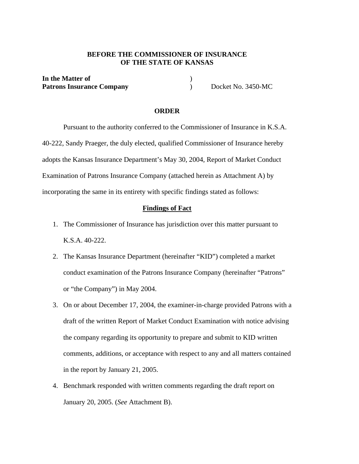# **BEFORE THE COMMISSIONER OF INSURANCE OF THE STATE OF KANSAS**

**In the Matter of** ) Patrons Insurance Company **Docket No. 3450-MC** 

#### **ORDER**

 Pursuant to the authority conferred to the Commissioner of Insurance in K.S.A. 40-222, Sandy Praeger, the duly elected, qualified Commissioner of Insurance hereby adopts the Kansas Insurance Department's May 30, 2004, Report of Market Conduct Examination of Patrons Insurance Company (attached herein as Attachment A) by incorporating the same in its entirety with specific findings stated as follows:

### **Findings of Fact**

- 1. The Commissioner of Insurance has jurisdiction over this matter pursuant to K.S.A. 40-222.
- 2. The Kansas Insurance Department (hereinafter "KID") completed a market conduct examination of the Patrons Insurance Company (hereinafter "Patrons" or "the Company") in May 2004.
- 3. On or about December 17, 2004, the examiner-in-charge provided Patrons with a draft of the written Report of Market Conduct Examination with notice advising the company regarding its opportunity to prepare and submit to KID written comments, additions, or acceptance with respect to any and all matters contained in the report by January 21, 2005.
- 4. Benchmark responded with written comments regarding the draft report on January 20, 2005. (*See* Attachment B).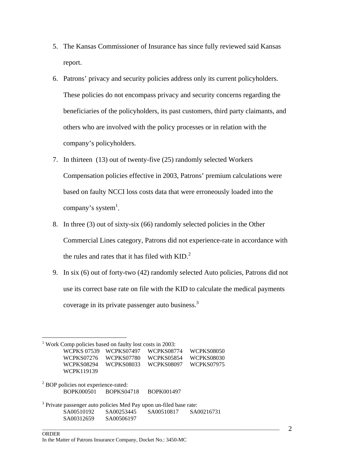- 5. The Kansas Commissioner of Insurance has since fully reviewed said Kansas report.
- 6. Patrons' privacy and security policies address only its current policyholders. These policies do not encompass privacy and security concerns regarding the beneficiaries of the policyholders, its past customers, third party claimants, and others who are involved with the policy processes or in relation with the company's policyholders.
- 7. In thirteen (13) out of twenty-five (25) randomly selected Workers Compensation policies effective in 2003, Patrons' premium calculations were based on faulty NCCI loss costs data that were erroneously loaded into the company's system<sup>1</sup>.
- 8. In three (3) out of sixty-six (66) randomly selected policies in the Other Commercial Lines category, Patrons did not experience-rate in accordance with the rules and rates that it has filed with  $KID.<sup>2</sup>$
- 9. In six (6) out of forty-two (42) randomly selected Auto policies, Patrons did not use its correct base rate on file with the KID to calculate the medical payments coverage in its private passenger auto business.<sup>3</sup>

 $\overline{a}$ <sup>1</sup> Work Comp policies based on faulty lost costs in 2003: WCPKS 07539 WCPKS07497 WCPKS08774 WCPKS08050 WCPKS07276 WCPKS07780 WCPKS05854 WCPKS08030 WCPKS08294 WCPKS08033 WCPKS08097 WCPKS07975 WCPK119139 <sup>2</sup> BOP policies not experience-rated: BOPK000501 BOPKS04718 BOPK001497  $3$  Private passenger auto policies Med Pay upon un-filed base rate: SA00510192 SA00253445 SA00510817 SA00216731 SA00312659 SA00506197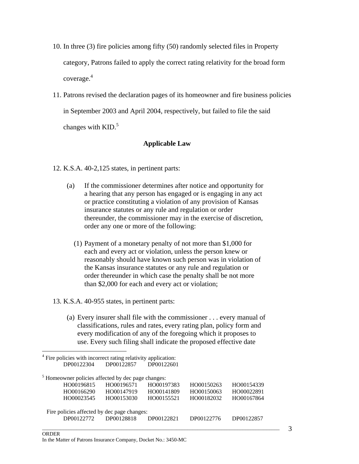- 10. In three (3) fire policies among fifty (50) randomly selected files in Property category, Patrons failed to apply the correct rating relativity for the broad form coverage. 4
- 11. Patrons revised the declaration pages of its homeowner and fire business policies in September 2003 and April 2004, respectively, but failed to file the said changes with  $KID$ <sup>5</sup>

# **Applicable Law**

- 12. K.S.A. 40-2,125 states, in pertinent parts:
	- (a) If the commissioner determines after notice and opportunity for a hearing that any person has engaged or is engaging in any act or practice constituting a violation of any provision of Kansas insurance statutes or any rule and regulation or order thereunder, the commissioner may in the exercise of discretion, order any one or more of the following:
		- (1) Payment of a monetary penalty of not more than \$1,000 for each and every act or violation, unless the person knew or reasonably should have known such person was in violation of the Kansas insurance statutes or any rule and regulation or order thereunder in which case the penalty shall be not more than \$2,000 for each and every act or violation;
- 13. K.S.A. 40-955 states, in pertinent parts:

<sup>4</sup> Fire policies with incorrect rating relativity application:

 $\overline{a}$ 

(a) Every insurer shall file with the commissioner . . . every manual of classifications, rules and rates, every rating plan, policy form and every modification of any of the foregoing which it proposes to use. Every such filing shall indicate the proposed effective date

| DP00122304                                                    |            | DP00122857 | DP00122601 |            |            |
|---------------------------------------------------------------|------------|------------|------------|------------|------------|
| <sup>5</sup> Homeowner policies affected by dec page changes: |            |            |            |            |            |
|                                                               | HO00196815 | HO00196571 | HO00197383 | HO00150263 | HO00154339 |
|                                                               | HO00166290 | HO00147919 | HO00141809 | HO00150063 | HO00022891 |
|                                                               | HO00023545 | HO00153030 | HO00155521 | HO00182032 | HO00167864 |
|                                                               |            |            |            |            |            |
| Fire policies affected by dec page changes:                   |            |            |            |            |            |
|                                                               | DP00122772 | DP00128818 | DP00122821 | DP00122776 | DP00122857 |
|                                                               |            |            |            |            |            |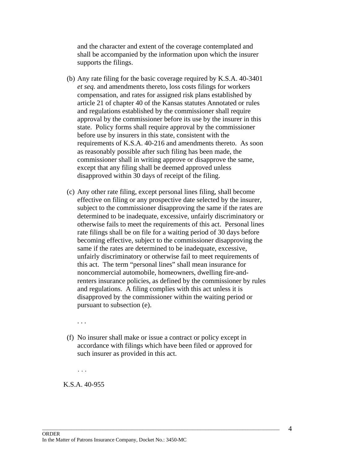and the character and extent of the coverage contemplated and shall be accompanied by the information upon which the insurer supports the filings.

- (b) Any rate filing for the basic coverage required by K.S.A. 40-3401 *et seq.* and amendments thereto, loss costs filings for workers compensation, and rates for assigned risk plans established by article 21 of chapter 40 of the Kansas statutes Annotated or rules and regulations established by the commissioner shall require approval by the commissioner before its use by the insurer in this state. Policy forms shall require approval by the commissioner before use by insurers in this state, consistent with the requirements of K.S.A. 40-216 and amendments thereto. As soon as reasonably possible after such filing has been made, the commissioner shall in writing approve or disapprove the same, except that any filing shall be deemed approved unless disapproved within 30 days of receipt of the filing.
- (c) Any other rate filing, except personal lines filing, shall become effective on filing or any prospective date selected by the insurer, subject to the commissioner disapproving the same if the rates are determined to be inadequate, excessive, unfairly discriminatory or otherwise fails to meet the requirements of this act. Personal lines rate filings shall be on file for a waiting period of 30 days before becoming effective, subject to the commissioner disapproving the same if the rates are determined to be inadequate, excessive, unfairly discriminatory or otherwise fail to meet requirements of this act. The term "personal lines" shall mean insurance for noncommercial automobile, homeowners, dwelling fire-andrenters insurance policies, as defined by the commissioner by rules and regulations. A filing complies with this act unless it is disapproved by the commissioner within the waiting period or pursuant to subsection (e).

. . .

(f) No insurer shall make or issue a contract or policy except in accordance with filings which have been filed or approved for such insurer as provided in this act.

 $\Box$  . The contribution of the contribution of the contribution of the contribution of the contribution of the contribution of the contribution of the contribution of the contribution of the contribution of the contributi

 . . . K.S.A. 40-955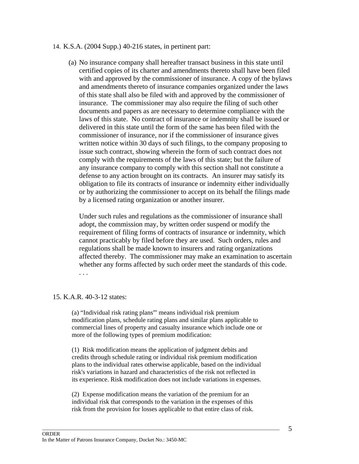### 14. K.S.A. (2004 Supp.) 40-216 states, in pertinent part:

(a) No insurance company shall hereafter transact business in this state until certified copies of its charter and amendments thereto shall have been filed with and approved by the commissioner of insurance. A copy of the bylaws and amendments thereto of insurance companies organized under the laws of this state shall also be filed with and approved by the commissioner of insurance. The commissioner may also require the filing of such other documents and papers as are necessary to determine compliance with the laws of this state. No contract of insurance or indemnity shall be issued or delivered in this state until the form of the same has been filed with the commissioner of insurance, nor if the commissioner of insurance gives written notice within 30 days of such filings, to the company proposing to issue such contract, showing wherein the form of such contract does not comply with the requirements of the laws of this state; but the failure of any insurance company to comply with this section shall not constitute a defense to any action brought on its contracts. An insurer may satisfy its obligation to file its contracts of insurance or indemnity either individually or by authorizing the commissioner to accept on its behalf the filings made by a licensed rating organization or another insurer.

Under such rules and regulations as the commissioner of insurance shall adopt, the commission may, by written order suspend or modify the requirement of filing forms of contracts of insurance or indemnity, which cannot practicably by filed before they are used. Such orders, rules and regulations shall be made known to insurers and rating organizations affected thereby. The commissioner may make an examination to ascertain whether any forms affected by such order meet the standards of this code. . . .

#### 15. K.A.R. 40-3-12 states:

(a) "Individual risk rating plans"' means individual risk premium modification plans, schedule rating plans and similar plans applicable to commercial lines of property and casualty insurance which include one or more of the following types of premium modification:

(1) Risk modification means the application of judgment debits and credits through schedule rating or individual risk premium modification plans to the individual rates otherwise applicable, based on the individual risk's variations in hazard and characteristics of the risk not reflected in its experience. Risk modification does not include variations in expenses.

(2) Expense modification means the variation of the premium for an individual risk that corresponds to the variation in the expenses of this risk from the provision for losses applicable to that entire class of risk.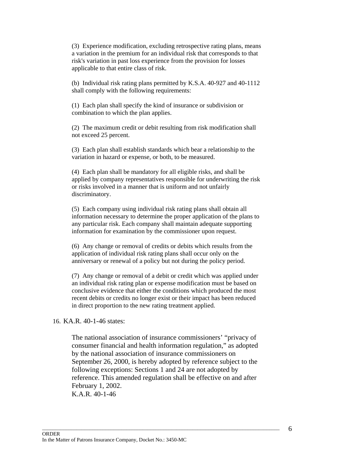(3) Experience modification, excluding retrospective rating plans, means a variation in the premium for an individual risk that corresponds to that risk's variation in past loss experience from the provision for losses applicable to that entire class of risk.

(b) Individual risk rating plans permitted by K.S.A. 40-927 and 40-1112 shall comply with the following requirements:

(1) Each plan shall specify the kind of insurance or subdivision or combination to which the plan applies.

(2) The maximum credit or debit resulting from risk modification shall not exceed 25 percent.

(3) Each plan shall establish standards which bear a relationship to the variation in hazard or expense, or both, to be measured.

(4) Each plan shall be mandatory for all eligible risks, and shall be applied by company representatives responsible for underwriting the risk or risks involved in a manner that is uniform and not unfairly discriminatory.

(5) Each company using individual risk rating plans shall obtain all information necessary to determine the proper application of the plans to any particular risk. Each company shall maintain adequate supporting information for examination by the commissioner upon request.

(6) Any change or removal of credits or debits which results from the application of individual risk rating plans shall occur only on the anniversary or renewal of a policy but not during the policy period.

(7) Any change or removal of a debit or credit which was applied under an individual risk rating plan or expense modification must be based on conclusive evidence that either the conditions which produced the most recent debits or credits no longer exist or their impact has been reduced in direct proportion to the new rating treatment applied.

16. KA.R. 40-1-46 states:

The national association of insurance commissioners' "privacy of consumer financial and health information regulation," as adopted by the national association of insurance commissioners on September 26, 2000, is hereby adopted by reference subject to the following exceptions: Sections 1 and 24 are not adopted by reference. This amended regulation shall be effective on and after February 1, 2002. K.A.R. 40-1-46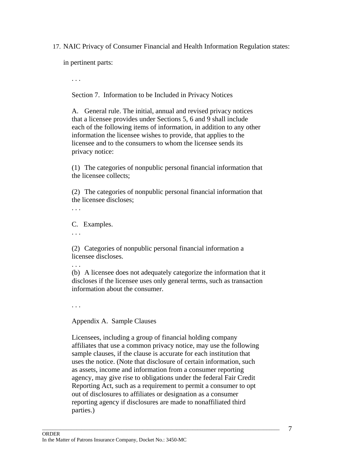17. NAIC Privacy of Consumer Financial and Health Information Regulation states:

in pertinent parts:

. . .

Section 7. Information to be Included in Privacy Notices

A. General rule. The initial, annual and revised privacy notices that a licensee provides under Sections 5, 6 and 9 shall include each of the following items of information, in addition to any other information the licensee wishes to provide, that applies to the licensee and to the consumers to whom the licensee sends its privacy notice:

(1) The categories of nonpublic personal financial information that the licensee collects;

(2) The categories of nonpublic personal financial information that the licensee discloses;

. . .

C. Examples.

. . .

(2) Categories of nonpublic personal financial information a licensee discloses.

(b) A licensee does not adequately categorize the information that it discloses if the licensee uses only general terms, such as transaction information about the consumer.

. . .

Appendix A. Sample Clauses

Licensees, including a group of financial holding company affiliates that use a common privacy notice, may use the following sample clauses, if the clause is accurate for each institution that uses the notice. (Note that disclosure of certain information, such as assets, income and information from a consumer reporting agency, may give rise to obligations under the federal Fair Credit Reporting Act, such as a requirement to permit a consumer to opt out of disclosures to affiliates or designation as a consumer reporting agency if disclosures are made to nonaffiliated third parties.)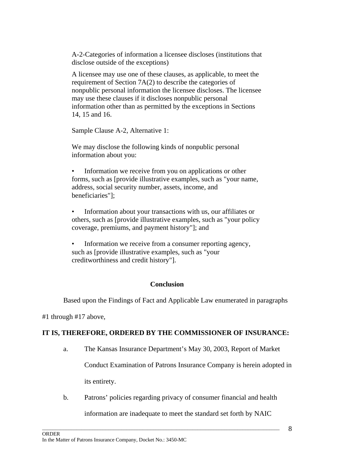A-2-Categories of information a licensee discloses (institutions that disclose outside of the exceptions)

A licensee may use one of these clauses, as applicable, to meet the requirement of Section 7A(2) to describe the categories of nonpublic personal information the licensee discloses. The licensee may use these clauses if it discloses nonpublic personal information other than as permitted by the exceptions in Sections 14, 15 and 16.

Sample Clause A-2, Alternative 1:

We may disclose the following kinds of nonpublic personal information about you:

Information we receive from you on applications or other forms, such as [provide illustrative examples, such as "your name, address, social security number, assets, income, and beneficiaries"];

• Information about your transactions with us, our affiliates or others, such as [provide illustrative examples, such as "your policy coverage, premiums, and payment history"]; and

Information we receive from a consumer reporting agency, such as [provide illustrative examples, such as "your creditworthiness and credit history"].

# **Conclusion**

Based upon the Findings of Fact and Applicable Law enumerated in paragraphs

#1 through #17 above,

# **IT IS, THEREFORE, ORDERED BY THE COMMISSIONER OF INSURANCE:**

- a. The Kansas Insurance Department's May 30, 2003, Report of Market Conduct Examination of Patrons Insurance Company is herein adopted in its entirety.
- b. Patrons' policies regarding privacy of consumer financial and health information are inadequate to meet the standard set forth by NAIC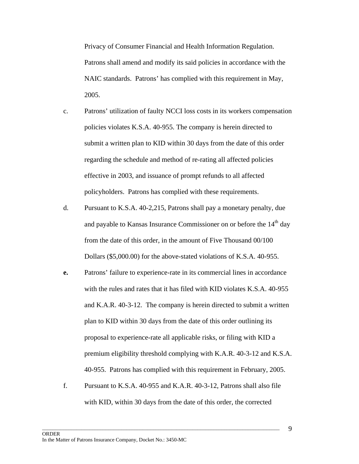Privacy of Consumer Financial and Health Information Regulation. Patrons shall amend and modify its said policies in accordance with the NAIC standards. Patrons' has complied with this requirement in May, 2005.

- c. Patrons' utilization of faulty NCCI loss costs in its workers compensation policies violates K.S.A. 40-955. The company is herein directed to submit a written plan to KID within 30 days from the date of this order regarding the schedule and method of re-rating all affected policies effective in 2003, and issuance of prompt refunds to all affected policyholders. Patrons has complied with these requirements.
- d. Pursuant to K.S.A. 40-2,215, Patrons shall pay a monetary penalty, due and payable to Kansas Insurance Commissioner on or before the 14<sup>th</sup> day from the date of this order, in the amount of Five Thousand 00/100 Dollars (\$5,000.00) for the above-stated violations of K.S.A. 40-955.
- **e.** Patrons' failure to experience-rate in its commercial lines in accordance with the rules and rates that it has filed with KID violates K.S.A. 40-955 and K.A.R. 40-3-12. The company is herein directed to submit a written plan to KID within 30 days from the date of this order outlining its proposal to experience-rate all applicable risks, or filing with KID a premium eligibility threshold complying with K.A.R. 40-3-12 and K.S.A. 40-955. Patrons has complied with this requirement in February, 2005.
- f. Pursuant to K.S.A. 40-955 and K.A.R. 40-3-12, Patrons shall also file with KID, within 30 days from the date of this order, the corrected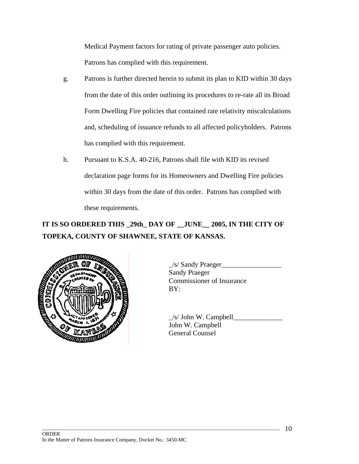Medical Payment factors for rating of private passenger auto policies. Patrons has complied with this requirement.

- g. Patrons is further directed herein to submit its plan to KID within 30 days from the date of this order outlining its procedures to re-rate all its Broad Form Dwelling Fire policies that contained rate relativity miscalculations and, scheduling of issuance refunds to all affected policyholders. Patrons has complied with this requirement.
- h. Pursuant to K.S.A. 40-216, Patrons shall file with KID its revised declaration page forms for its Homeowners and Dwelling Fire policies within 30 days from the date of this order. Patrons has complied with these requirements.

# **IT IS SO ORDERED THIS \_29th\_ DAY OF \_\_JUNE\_\_ 2005, IN THE CITY OF TOPEKA, COUNTY OF SHAWNEE, STATE OF KANSAS.**

 $\Box$  . The contribution of the contribution of the contribution of the contribution of the contribution of the contribution of the contribution of the contribution of the contribution of the contribution of the contributi



 $\angle$ s/ Sandy Praeger $\angle$ Sandy Praeger Commissioner of Insurance

 $\angle$ s/ John W. Campbell $\angle$ John W. Campbell General Counsel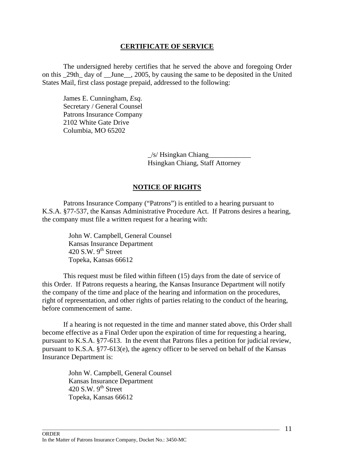## **CERTIFICATE OF SERVICE**

 The undersigned hereby certifies that he served the above and foregoing Order on this 29th day of June, 2005, by causing the same to be deposited in the United States Mail, first class postage prepaid, addressed to the following:

 James E. Cunningham, *Esq.*  Secretary / General Counsel Patrons Insurance Company 2102 White Gate Drive Columbia, MO 65202

> $\frac{1}{s}$  Hsingkan Chiang Hsingkan Chiang, Staff Attorney

## **NOTICE OF RIGHTS**

 Patrons Insurance Company ("Patrons") is entitled to a hearing pursuant to K.S.A. §77-537, the Kansas Administrative Procedure Act. If Patrons desires a hearing, the company must file a written request for a hearing with:

> John W. Campbell, General Counsel Kansas Insurance Department 420 S.W.  $9^{th}$  Street Topeka, Kansas 66612

 This request must be filed within fifteen (15) days from the date of service of this Order. If Patrons requests a hearing, the Kansas Insurance Department will notify the company of the time and place of the hearing and information on the procedures, right of representation, and other rights of parties relating to the conduct of the hearing, before commencement of same.

 If a hearing is not requested in the time and manner stated above, this Order shall become effective as a Final Order upon the expiration of time for requesting a hearing, pursuant to K.S.A. §77-613. In the event that Patrons files a petition for judicial review, pursuant to K.S.A. §77-613(e), the agency officer to be served on behalf of the Kansas Insurance Department is:

 $\Box$  . The contribution of the contribution of the contribution of the contribution of the contribution of the contribution of the contribution of the contribution of the contribution of the contribution of the contributi

John W. Campbell, General Counsel Kansas Insurance Department 420 S.W.  $9<sup>th</sup>$  Street Topeka, Kansas 66612